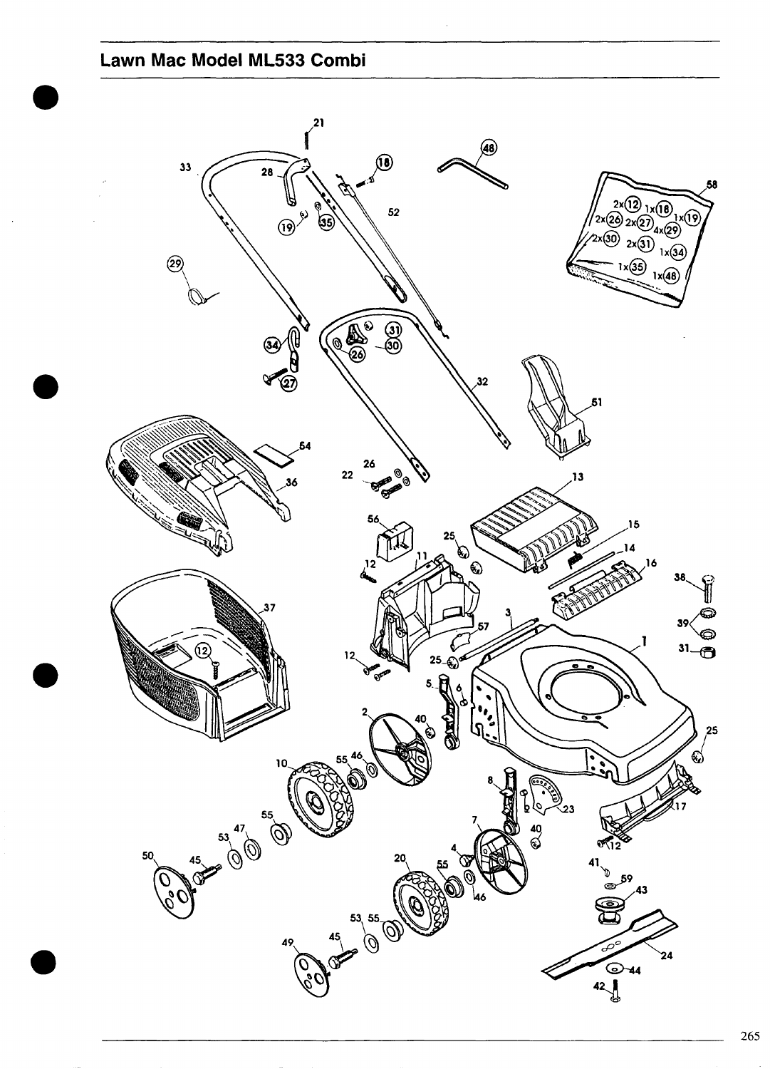## Lawn Mac Model ML533 Combi

<span id="page-0-0"></span>